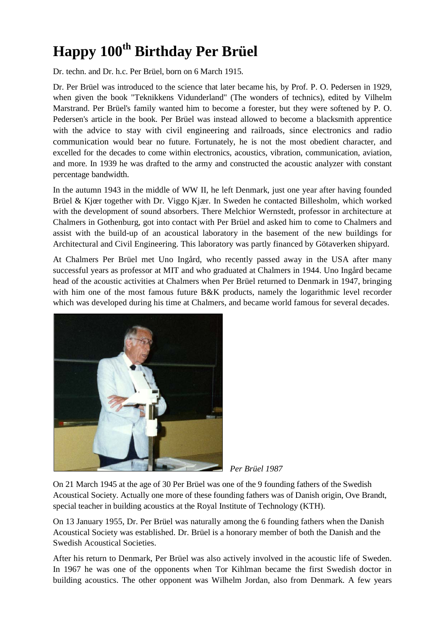## **Happy 100th Birthday Per Brüel**

Dr. techn. and Dr. h.c. Per Brüel, born on 6 March 1915.

Dr. Per Brüel was introduced to the science that later became his, by Prof. P. O. Pedersen in 1929, when given the book "Teknikkens Vidunderland" (The wonders of technics), edited by Vilhelm Marstrand. Per Brüel's family wanted him to become a forester, but they were softened by P. O. Pedersen's article in the book. Per Brüel was instead allowed to become a blacksmith apprentice with the advice to stay with civil engineering and railroads, since electronics and radio communication would bear no future. Fortunately, he is not the most obedient character, and excelled for the decades to come within electronics, acoustics, vibration, communication, aviation, and more. In 1939 he was drafted to the army and constructed the acoustic analyzer with constant percentage bandwidth.

In the autumn 1943 in the middle of WW II, he left Denmark, just one year after having founded Brüel & Kjœr together with Dr. Viggo Kjær. In Sweden he contacted Billesholm, which worked with the development of sound absorbers. There Melchior Wernstedt, professor in architecture at Chalmers in Gothenburg, got into contact with Per Brüel and asked him to come to Chalmers and assist with the build-up of an acoustical laboratory in the basement of the new buildings for Architectural and Civil Engineering. This laboratory was partly financed by Götaverken shipyard.

At Chalmers Per Brüel met Uno Ingård, who recently passed away in the USA after many successful years as professor at MIT and who graduated at Chalmers in 1944. Uno Ingård became head of the acoustic activities at Chalmers when Per Brüel returned to Denmark in 1947, bringing with him one of the most famous future B&K products, namely the logarithmic level recorder which was developed during his time at Chalmers, and became world famous for several decades.



 *Per Brüel 1987*

On 21 March 1945 at the age of 30 Per Brüel was one of the 9 founding fathers of the Swedish Acoustical Society. Actually one more of these founding fathers was of Danish origin, Ove Brandt, special teacher in building acoustics at the Royal Institute of Technology (KTH).

On 13 January 1955, Dr. Per Brüel was naturally among the 6 founding fathers when the Danish Acoustical Society was established. Dr. Brüel is a honorary member of both the Danish and the Swedish Acoustical Societies.

After his return to Denmark, Per Brüel was also actively involved in the acoustic life of Sweden. In 1967 he was one of the opponents when Tor Kihlman became the first Swedish doctor in building acoustics. The other opponent was Wilhelm Jordan, also from Denmark. A few years